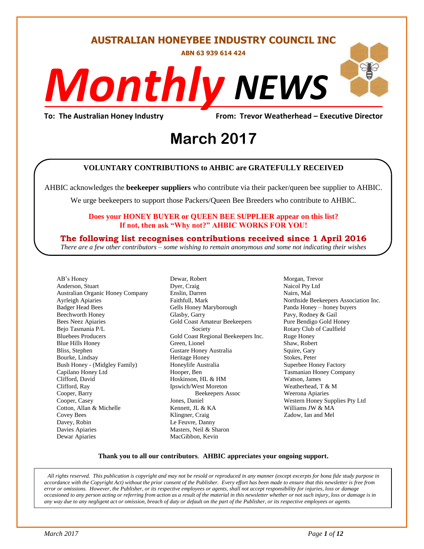#### **AUSTRALIAN HONEYBEE INDUSTRY COUNCIL INC**

**ABN 63 939 614 424**

# *NEWS Monthly*

**To: The Australian Honey Industry From: Trevor Weatherhead – Executive Director**

# **March** 2017

#### **VOLUNTARY CONTRIBUTIONS to AHBIC are GRATEFULLY RECEIVED**

AHBIC acknowledges the **beekeeper suppliers** who contribute via their packer/queen bee supplier to AHBIC.

We urge beekeepers to support those Packers/Queen Bee Breeders who contribute to AHBIC.

#### **Does your HONEY BUYER or QUEEN BEE SUPPLIER appear on this list? If not, then ask "Why not?" AHBIC WORKS FOR YOU!**

#### **The following list recognises contributions received since 1 April 2016**

*There are a few other contributors – some wishing to remain anonymous and some not indicating their wishes*

AB's Honey Anderson, Stuart Australian Organic Honey Company Ayrleigh Apiaries Badger Head Bees Beechworth Honey Bees Neez Apiaries Bejo Tasmania P/L Bluebees Producers Blue Hills Honey Bliss, Stephen Bourke, Lindsay Bush Honey - (Midgley Family) Capilano Honey Ltd Clifford, David Clifford, Ray Cooper, Barry Cooper, Casey Cotton, Allan & Michelle Covey Bees Davey, Robin Davies Apiaries Dewar Apiaries

Dewar, Robert Dyer, Craig Enslin, Darren Faithfull, Mark Gells Honey Maryborough Glasby, Garry Gold Coast Amateur Beekeepers Society Gold Coast Regional Beekeepers Inc. Green, Lionel Gustare Honey Australia Heritage Honey Honeylife Australia Hooper, Ben Hoskinson, HL & HM Ipswich/West Moreton Beekeepers Assoc Jones, Daniel Kennett, JL & KA Klingner, Craig Le Feuvre, Danny Masters, Neil & Sharon MacGibbon, Kevin

Morgan, Trevor Naicol Pty Ltd Nairn, Mal Northside Beekeepers Association Inc. Panda Honey – honey buyers Pavy, Rodney & Gail Pure Bendigo Gold Honey Rotary Club of Caulfield Ruge Honey Shaw, Robert Squire, Gary Stokes, Peter Superbee Honey Factory Tasmanian Honey Company Watson, James Weatherhead, T & M Weerona Apiaries Western Honey Supplies Pty Ltd Williams JW & MA Zadow, Ian and Mel

#### **Thank you to all our contributors***.* **AHBIC appreciates your ongoing support.**

*All rights reserved. This publication is copyright and may not be resold or reproduced in any manner (except excerpts for bona fide study purpose in accordance with the Copyright Act) without the prior consent of the Publisher. Every effort has been made to ensure that this newsletter is free from error or omissions. However, the Publisher, or its respective employees or agents, shall not accept responsibility for injuries, loss or damage occasioned to any person acting or referring from action as a result of the material in this newsletter whether or not such injury, loss or damage is in any way due to any negligent act or omission, breach of duty or default on the part of the Publisher, or its respective employees or agents.*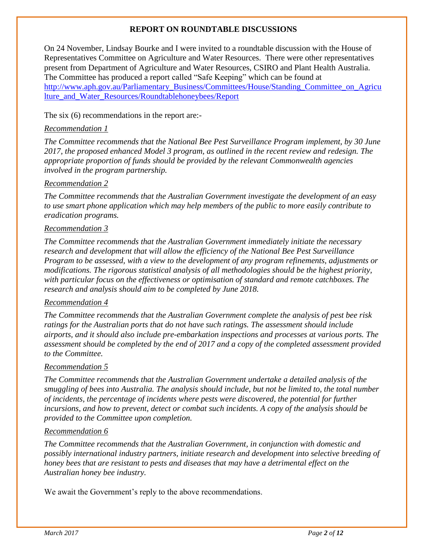#### **REPORT ON ROUNDTABLE DISCUSSIONS**

On 24 November, Lindsay Bourke and I were invited to a roundtable discussion with the House of Representatives Committee on Agriculture and Water Resources. There were other representatives present from Department of Agriculture and Water Resources, CSIRO and Plant Health Australia. The Committee has produced a report called "Safe Keeping" which can be found at [http://www.aph.gov.au/Parliamentary\\_Business/Committees/House/Standing\\_Committee\\_on\\_Agricu](http://www.aph.gov.au/Parliamentary_Business/Committees/House/Standing_Committee_on_Agriculture_and_Water_Resources/Roundtablehoneybees/Report) [lture\\_and\\_Water\\_Resources/Roundtablehoneybees/Report](http://www.aph.gov.au/Parliamentary_Business/Committees/House/Standing_Committee_on_Agriculture_and_Water_Resources/Roundtablehoneybees/Report) 

The six (6) recommendations in the report are:-

#### *[Recommendation](http://www.aph.gov.au/Parliamentary_Business/Committees/House/Standing_Committee_on_Agriculture_and_Water_Resources/Roundtablehoneybees/Report/section?id=committees%2freportrep%2f024045%2f24470#s24470rec1) 1*

*The Committee recommends that the National Bee Pest Surveillance Program implement, by 30 June 2017, the proposed enhanced Model 3 program, as outlined in the recent review and redesign. The appropriate proportion of funds should be provided by the relevant Commonwealth agencies involved in the program partnership.*

#### *[Recommendation](http://www.aph.gov.au/Parliamentary_Business/Committees/House/Standing_Committee_on_Agriculture_and_Water_Resources/Roundtablehoneybees/Report/section?id=committees%2freportrep%2f024045%2f24470#s24470rec2) 2*

*The Committee recommends that the Australian Government investigate the development of an easy to use smart phone application which may help members of the public to more easily contribute to eradication programs.*

#### *[Recommendation](http://www.aph.gov.au/Parliamentary_Business/Committees/House/Standing_Committee_on_Agriculture_and_Water_Resources/Roundtablehoneybees/Report/section?id=committees%2freportrep%2f024045%2f24470#s24470rec3) 3*

*The Committee recommends that the Australian Government immediately initiate the necessary research and development that will allow the efficiency of the National Bee Pest Surveillance Program to be assessed, with a view to the development of any program refinements, adjustments or modifications. The rigorous statistical analysis of all methodologies should be the highest priority, with particular focus on the effectiveness or optimisation of standard and remote catchboxes. The research and analysis should aim to be completed by June 2018.*

#### *[Recommendation](http://www.aph.gov.au/Parliamentary_Business/Committees/House/Standing_Committee_on_Agriculture_and_Water_Resources/Roundtablehoneybees/Report/section?id=committees%2freportrep%2f024045%2f24470#s24470rec4) 4*

*The Committee recommends that the Australian Government complete the analysis of pest bee risk ratings for the Australian ports that do not have such ratings. The assessment should include airports, and it should also include pre-embarkation inspections and processes at various ports. The assessment should be completed by the end of 2017 and a copy of the completed assessment provided to the Committee.*

#### *[Recommendation](http://www.aph.gov.au/Parliamentary_Business/Committees/House/Standing_Committee_on_Agriculture_and_Water_Resources/Roundtablehoneybees/Report/section?id=committees%2freportrep%2f024045%2f24470#s24470rec5) 5*

*The Committee recommends that the Australian Government undertake a detailed analysis of the smuggling of bees into Australia. The analysis should include, but not be limited to, the total number of incidents, the percentage of incidents where pests were discovered, the potential for further incursions, and how to prevent, detect or combat such incidents. A copy of the analysis should be provided to the Committee upon completion.*

#### *[Recommendation](http://www.aph.gov.au/Parliamentary_Business/Committees/House/Standing_Committee_on_Agriculture_and_Water_Resources/Roundtablehoneybees/Report/section?id=committees%2freportrep%2f024045%2f24470#s24470rec6) 6*

*The Committee recommends that the Australian Government, in conjunction with domestic and possibly international industry partners, initiate research and development into selective breeding of honey bees that are resistant to pests and diseases that may have a detrimental effect on the Australian honey bee industry.*

We await the Government's reply to the above recommendations.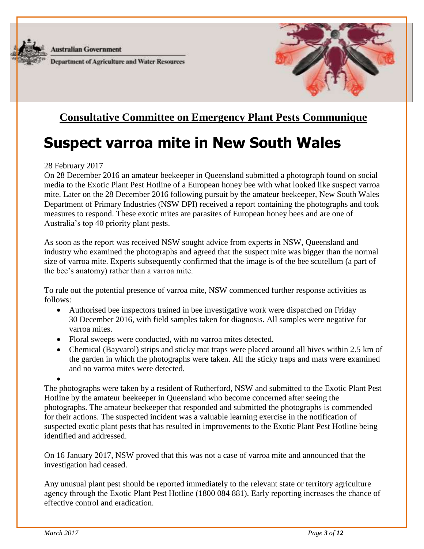

**Australian Government** 

**Department of Agriculture and Water Resources** 



### **Consultative Committee on Emergency Plant Pests Communique**

# **Suspect varroa mite in New South Wales**

#### 28 February 2017

On 28 December 2016 an amateur beekeeper in Queensland submitted a photograph found on social media to the Exotic Plant Pest Hotline of a European honey bee with what looked like suspect varroa mite. Later on the 28 December 2016 following pursuit by the amateur beekeeper, New South Wales Department of Primary Industries (NSW DPI) received a report containing the photographs and took measures to respond. These exotic mites are parasites of European honey bees and are one of Australia's top 40 priority plant pests.

As soon as the report was received NSW sought advice from experts in NSW, Queensland and industry who examined the photographs and agreed that the suspect mite was bigger than the normal size of varroa mite. Experts subsequently confirmed that the image is of the bee scutellum (a part of the bee's anatomy) rather than a varroa mite.

To rule out the potential presence of varroa mite, NSW commenced further response activities as follows:

- Authorised bee inspectors trained in bee investigative work were dispatched on Friday 30 December 2016, with field samples taken for diagnosis. All samples were negative for varroa mites.
- Floral sweeps were conducted, with no varroa mites detected.
- Chemical (Bayvarol) strips and sticky mat traps were placed around all hives within 2.5 km of the garden in which the photographs were taken. All the sticky traps and mats were examined and no varroa mites were detected.
- $\bullet$

The photographs were taken by a resident of Rutherford, NSW and submitted to the Exotic Plant Pest Hotline by the amateur beekeeper in Queensland who become concerned after seeing the photographs. The amateur beekeeper that responded and submitted the photographs is commended for their actions. The suspected incident was a valuable learning exercise in the notification of suspected exotic plant pests that has resulted in improvements to the Exotic Plant Pest Hotline being identified and addressed.

On 16 January 2017, NSW proved that this was not a case of varroa mite and announced that the investigation had ceased.

Any unusual plant pest should be reported immediately to the relevant state or territory agriculture agency through the Exotic Plant Pest Hotline (1800 084 881). Early reporting increases the chance of effective control and eradication.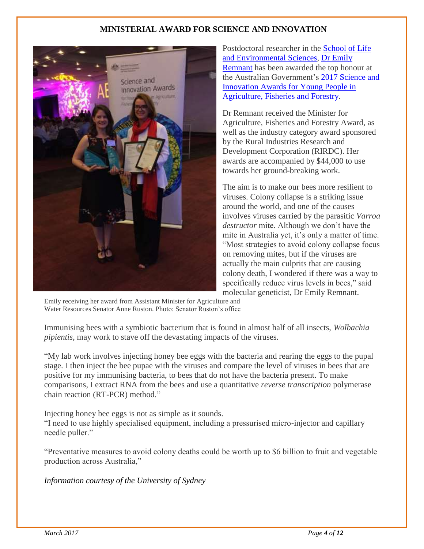#### **MINISTERIAL AWARD FOR SCIENCE AND INNOVATION**



Postdoctoral researcher in the [School of Life](http://sydney.edu.au/science/life-environment/)  [and Environmental Sciences,](http://sydney.edu.au/science/life-environment/) [Dr Emily](http://sydney.edu.au/science/people/emily.remnant.php)  [Remnant](http://sydney.edu.au/science/people/emily.remnant.php) has been awarded the top honour at the Australian Government's [2017 Science and](http://www.agriculture.gov.au/abares/conferences-events/scienceawards)  [Innovation Awards for Young People in](http://www.agriculture.gov.au/abares/conferences-events/scienceawards)  [Agriculture, Fisheries and Forestry.](http://www.agriculture.gov.au/abares/conferences-events/scienceawards)

Dr Remnant received the Minister for Agriculture, Fisheries and Forestry Award, as well as the industry category award sponsored by the Rural Industries Research and Development Corporation (RIRDC). Her awards are accompanied by \$44,000 to use towards her ground-breaking work.

The aim is to make our bees more resilient to viruses. Colony collapse is a striking issue around the world, and one of the causes involves viruses carried by the parasitic *Varroa destructor* mite. Although we don't have the mite in Australia yet, it's only a matter of time. "Most strategies to avoid colony collapse focus on removing mites, but if the viruses are actually the main culprits that are causing colony death, I wondered if there was a way to specifically reduce virus levels in bees," said molecular geneticist, Dr Emily Remnant.

Emily receiving her award from Assistant Minister for Agriculture and Water Resources Senator Anne Ruston. Photo: Senator Ruston's office

Immunising bees with a symbiotic bacterium that is found in almost half of all insects, *Wolbachia pipientis,* may work to stave off the devastating impacts of the viruses*.*

"My lab work involves injecting honey bee eggs with the bacteria and rearing the eggs to the pupal stage. I then inject the bee pupae with the viruses and compare the level of viruses in bees that are positive for my immunising bacteria, to bees that do not have the bacteria present. To make comparisons, I extract RNA from the bees and use a quantitative *reverse transcription* polymerase chain reaction (RT-PCR) method."

Injecting honey bee eggs is not as simple as it sounds.

"I need to use highly specialised equipment, including a pressurised micro-injector and capillary needle puller."

"Preventative measures to avoid colony deaths could be worth up to \$6 billion to fruit and vegetable production across Australia,"

*Information courtesy of the University of Sydney*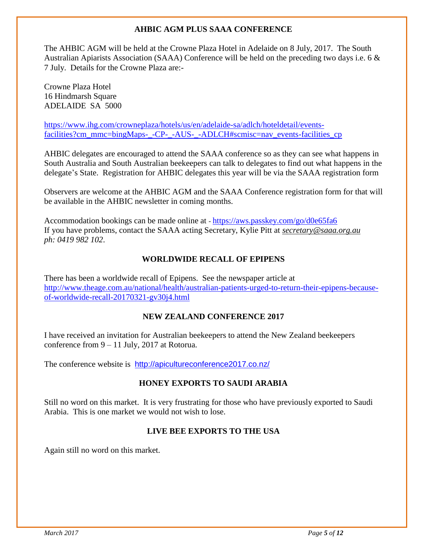#### **AHBIC AGM PLUS SAAA CONFERENCE**

The AHBIC AGM will be held at the Crowne Plaza Hotel in Adelaide on 8 July, 2017. The South Australian Apiarists Association (SAAA) Conference will be held on the preceding two days i.e. 6 & 7 July. Details for the Crowne Plaza are:-

Crowne Plaza Hotel 16 Hindmarsh Square ADELAIDE SA 5000

[https://www.ihg.com/crowneplaza/hotels/us/en/adelaide-sa/adlch/hoteldetail/events](https://www.ihg.com/crowneplaza/hotels/us/en/adelaide-sa/adlch/hoteldetail/events-facilities?cm_mmc=bingMaps-_-CP-_-AUS-_-ADLCH#scmisc=nav_events-facilities_cp)[facilities?cm\\_mmc=bingMaps-\\_-CP-\\_-AUS-\\_-ADLCH#scmisc=nav\\_events-facilities\\_cp](https://www.ihg.com/crowneplaza/hotels/us/en/adelaide-sa/adlch/hoteldetail/events-facilities?cm_mmc=bingMaps-_-CP-_-AUS-_-ADLCH#scmisc=nav_events-facilities_cp)

AHBIC delegates are encouraged to attend the SAAA conference so as they can see what happens in South Australia and South Australian beekeepers can talk to delegates to find out what happens in the delegate's State. Registration for AHBIC delegates this year will be via the SAAA registration form

Observers are welcome at the AHBIC AGM and the SAAA Conference registration form for that will be available in the AHBIC newsletter in coming months.

Accommodation bookings can be made online at - <https://aws.passkey.com/go/d0e65fa6> If you have problems, contact the SAAA acting Secretary, Kylie Pitt at *[secretary@saaa.org.au](mailto:secretary@saaa.org.au)  ph: 0419 982 102*.

#### **WORLDWIDE RECALL OF EPIPENS**

There has been a worldwide recall of Epipens. See the newspaper article at [http://www.theage.com.au/national/health/australian-patients-urged-to-return-their-epipens-because](http://www.theage.com.au/national/health/australian-patients-urged-to-return-their-epipens-because-of-worldwide-recall-20170321-gv30j4.html)[of-worldwide-recall-20170321-gv30j4.html](http://www.theage.com.au/national/health/australian-patients-urged-to-return-their-epipens-because-of-worldwide-recall-20170321-gv30j4.html)

#### **NEW ZEALAND CONFERENCE 2017**

I have received an invitation for Australian beekeepers to attend the New Zealand beekeepers conference from 9 – 11 July, 2017 at Rotorua.

The conference website is <http://apicultureconference2017.co.nz/>

#### **HONEY EXPORTS TO SAUDI ARABIA**

Still no word on this market. It is very frustrating for those who have previously exported to Saudi Arabia. This is one market we would not wish to lose.

#### **LIVE BEE EXPORTS TO THE USA**

Again still no word on this market.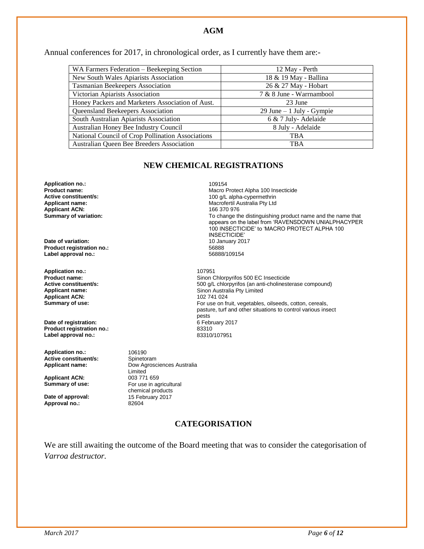#### **AGM**

Annual conferences for 2017, in chronological order, as I currently have them are:-

| WA Farmers Federation - Beekeeping Section        | 12 May - Perth             |
|---------------------------------------------------|----------------------------|
| New South Wales Apiarists Association             | 18 & 19 May - Ballina      |
| <b>Tasmanian Beekeepers Association</b>           | 26 & 27 May - Hobart       |
| Victorian Apiarists Association                   | 7 & 8 June - Warrnambool   |
| Honey Packers and Marketers Association of Aust.  | 23 June                    |
| Queensland Beekeepers Association                 | 29 June $-1$ July - Gympie |
| South Australian Apiarists Association            | 6 & 7 July-Adelaide        |
| Australian Honey Bee Industry Council             | 8 July - Adelaide          |
| National Council of Crop Pollination Associations | TBA                        |
| Australian Queen Bee Breeders Association         | <b>TBA</b>                 |

#### **NEW CHEMICAL REGISTRATIONS**

**Application no.:** 109154 **Applicant ACN:**<br>Summary of variation:

**Date of variation: 10 January 2017**<br> **Product registration no.:** 66888 **Product registration no.:** 56888 Label approval no.:

**Application no.:** 107951 **Applicant ACN:** 

**Date of registration:**  $\overline{6}$  February 2017 **6 February 2017 2017 Product registration no.:** 83310 Label approval no.:

Application no.: 106190<br> **Active constituent/s:** Spinetoram **Active constituent/s:** 

Applicant ACN:<br>Summary of use:

**Date of approval:** 15 February 2017<br> **Approval no.:** 82604 Approval no.:

Applicant name: Dow Agrosciences Australia Limited<br>003 771 659 For use in agricultural chemical products<br>15 February 2017

#### **CATEGORISATION**

We are still awaiting the outcome of the Board meeting that was to consider the categorisation of *Varroa destructor.*

**Product name: Product name: Active constituent/s: Macro Protect Alpha 100 Insecticide Active constituent/s: Active constituent/s: Active constituent/s: Active constituent/s: Active constituent/s: Active Active constituent/s:** <br> **Applicant name:** <br> **Applicant name:** <br> **Applicant name:** <br> **Applicant name:** <br> **Applicant name:** <br> **Applicant name:** <br> **Applicant name:** <br> **Applicant name:** <br> **Applicant name:** <br> **Applicant name:** Macrofertil Australia Pty Ltd<br>166 370 976 To change the distinguishing product name and the name that appears on the label from 'RAVENSDOWN UNIALPHACYPER 100 INSECTICIDE' to 'MACRO PROTECT ALPHA 100 INSECTICIDE'

**Product name: Product name: Sinon Chlorpyrifos 500 EC Insecticide**<br> **Active constituent/s: Soo all chlorpyrifos (an anti-cholineste Active constituent/s: Active constituent/s:** 500 g/L chlorpyrifos (an anti-cholinesterase compound)<br> **Applicant name:** Sinon Australia Pty Limited Sinon Australia Pty Limited<br>102 741 024 **Summary of use: For use on fruit, vegetables, oilseeds, cotton, cereals, control of the state of the Form of Form of Temperature of the Summary of use on fruit, vegetables, oilseeds, cotton, cereals,** pasture, turf and other situations to control various insect pests<br>6 February 2017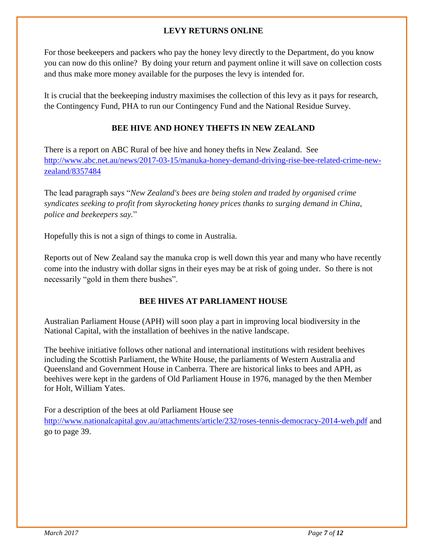#### **LEVY RETURNS ONLINE**

For those beekeepers and packers who pay the honey levy directly to the Department, do you know you can now do this online? By doing your return and payment online it will save on collection costs and thus make more money available for the purposes the levy is intended for.

It is crucial that the beekeeping industry maximises the collection of this levy as it pays for research, the Contingency Fund, PHA to run our Contingency Fund and the National Residue Survey.

#### **BEE HIVE AND HONEY THEFTS IN NEW ZEALAND**

There is a report on ABC Rural of bee hive and honey thefts in New Zealand. See [http://www.abc.net.au/news/2017-03-15/manuka-honey-demand-driving-rise-bee-related-crime-new](http://www.abc.net.au/news/2017-03-15/manuka-honey-demand-driving-rise-bee-related-crime-new-zealand/8357484)[zealand/8357484](http://www.abc.net.au/news/2017-03-15/manuka-honey-demand-driving-rise-bee-related-crime-new-zealand/8357484)

The lead paragraph says "*New Zealand's bees are being stolen and traded by organised crime syndicates seeking to profit from skyrocketing honey prices thanks to surging demand in China, police and beekeepers say.*"

Hopefully this is not a sign of things to come in Australia.

Reports out of New Zealand say the manuka crop is well down this year and many who have recently come into the industry with dollar signs in their eyes may be at risk of going under. So there is not necessarily "gold in them there bushes".

#### **BEE HIVES AT PARLIAMENT HOUSE**

Australian Parliament House (APH) will soon play a part in improving local biodiversity in the National Capital, with the installation of beehives in the native landscape.

The beehive initiative follows other national and international institutions with resident beehives including the Scottish Parliament, the White House, the parliaments of Western Australia and Queensland and Government House in Canberra. There are historical links to bees and APH, as beehives were kept in the gardens of Old Parliament House in 1976, managed by the then Member for Holt, William Yates.

For a description of the bees at old Parliament House see <http://www.nationalcapital.gov.au/attachments/article/232/roses-tennis-democracy-2014-web.pdf> and go to page 39.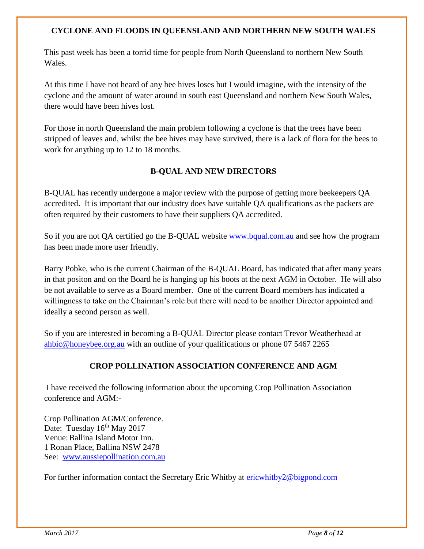#### **CYCLONE AND FLOODS IN QUEENSLAND AND NORTHERN NEW SOUTH WALES**

This past week has been a torrid time for people from North Queensland to northern New South Wales.

At this time I have not heard of any bee hives loses but I would imagine, with the intensity of the cyclone and the amount of water around in south east Queensland and northern New South Wales, there would have been hives lost.

For those in north Queensland the main problem following a cyclone is that the trees have been stripped of leaves and, whilst the bee hives may have survived, there is a lack of flora for the bees to work for anything up to 12 to 18 months.

#### **B-QUAL AND NEW DIRECTORS**

B-QUAL has recently undergone a major review with the purpose of getting more beekeepers QA accredited. It is important that our industry does have suitable QA qualifications as the packers are often required by their customers to have their suppliers QA accredited.

So if you are not QA certified go the B-QUAL website [www.bqual.com.au](http://www.bqual.com.au/) and see how the program has been made more user friendly.

Barry Pobke, who is the current Chairman of the B-QUAL Board, has indicated that after many years in that positon and on the Board he is hanging up his boots at the next AGM in October. He will also be not available to serve as a Board member. One of the current Board members has indicated a willingness to take on the Chairman's role but there will need to be another Director appointed and ideally a second person as well.

So if you are interested in becoming a B-QUAL Director please contact Trevor Weatherhead at [ahbic@honeybee.org.au](mailto:ahbic@honeybee.org.au) with an outline of your qualifications or phone 07 5467 2265

#### **CROP POLLINATION ASSOCIATION CONFERENCE AND AGM**

I have received the following information about the upcoming Crop Pollination Association conference and AGM:-

Crop Pollination AGM/Conference. Date: Tuesday  $16^{th}$  May 2017 Venue:Ballina Island Motor Inn. 1 Ronan Place, Ballina NSW 2478 See: [www.aussiepollination.com.au](http://www.aussiepollination.com.au/)

For further information contact the Secretary Eric Whitby at [ericwhitby2@bigpond.com](mailto:ericwhitby2@bigpond.com)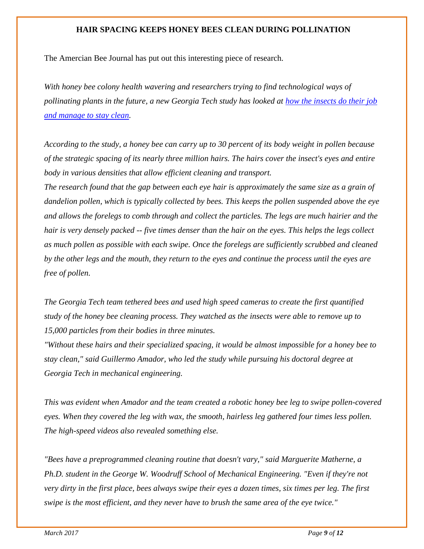#### **HAIR SPACING KEEPS HONEY BEES CLEAN DURING POLLINATION**

The Amercian Bee Journal has put out this interesting piece of research.

*With honey bee colony health wavering and researchers trying to find technological ways of pollinating plants in the future, a new Georgia Tech study has looked at [how the insects do their job](http://americanbeejournal.us1.list-manage.com/track/click?u=5fd2b1aa990e63193af2a573d&id=7b6b509a87&e=820856cc45)  [and manage to stay clean.](http://americanbeejournal.us1.list-manage.com/track/click?u=5fd2b1aa990e63193af2a573d&id=7b6b509a87&e=820856cc45)*

*According to the study, a honey bee can carry up to 30 percent of its body weight in pollen because of the strategic spacing of its nearly three million hairs. The hairs cover the insect's eyes and entire body in various densities that allow efficient cleaning and transport.*

*The research found that the gap between each eye hair is approximately the same size as a grain of dandelion pollen, which is typically collected by bees. This keeps the pollen suspended above the eye and allows the forelegs to comb through and collect the particles. The legs are much hairier and the hair is very densely packed -- five times denser than the hair on the eyes. This helps the legs collect as much pollen as possible with each swipe. Once the forelegs are sufficiently scrubbed and cleaned by the other legs and the mouth, they return to the eyes and continue the process until the eyes are free of pollen.*

*The Georgia Tech team tethered bees and used high speed cameras to create the first quantified study of the honey bee cleaning process. They watched as the insects were able to remove up to 15,000 particles from their bodies in three minutes.*

*"Without these hairs and their specialized spacing, it would be almost impossible for a honey bee to stay clean," said Guillermo Amador, who led the study while pursuing his doctoral degree at Georgia Tech in mechanical engineering.*

*This was evident when Amador and the team created a robotic honey bee leg to swipe pollen-covered eyes. When they covered the leg with wax, the smooth, hairless leg gathered four times less pollen. The high-speed videos also revealed something else.*

*"Bees have a preprogrammed cleaning routine that doesn't vary," said Marguerite Matherne, a Ph.D. student in the George W. Woodruff School of Mechanical Engineering. "Even if they're not very dirty in the first place, bees always swipe their eyes a dozen times, six times per leg. The first swipe is the most efficient, and they never have to brush the same area of the eye twice."*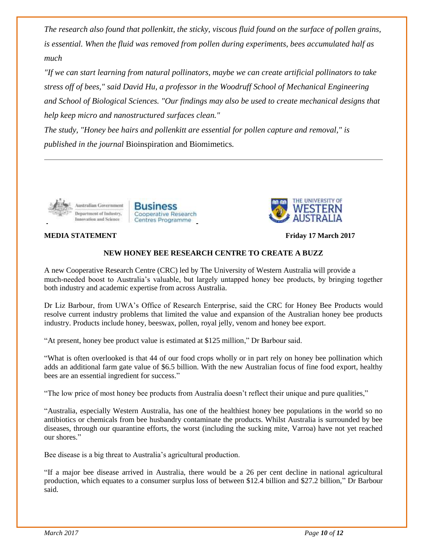*The research also found that pollenkitt, the sticky, viscous fluid found on the surface of pollen grains, is essential. When the fluid was removed from pollen during experiments, bees accumulated half as much*

*"If we can start learning from natural pollinators, maybe we can create artificial pollinators to take stress off of bees," said David Hu, a professor in the Woodruff School of Mechanical Engineering and School of Biological Sciences. "Our findings may also be used to create mechanical designs that help keep micro and nanostructured surfaces clean."*

*The study, "Honey bee hairs and pollenkitt are essential for pollen capture and removal," is published in the journal* Bioinspiration and Biomimetics*.*



#### **MEDIA STATEMENT Friday 17 March 2017**



#### **NEW HONEY BEE RESEARCH CENTRE TO CREATE A BUZZ**

A new Cooperative Research Centre (CRC) led by The University of Western Australia will provide a much-needed boost to Australia's valuable, but largely untapped honey bee products, by bringing together both industry and academic expertise from across Australia.

Dr Liz Barbour, from UWA's Office of Research Enterprise, said the CRC for Honey Bee Products would resolve current industry problems that limited the value and expansion of the Australian honey bee products industry. Products include honey, beeswax, pollen, royal jelly, venom and honey bee export.

"At present, honey bee product value is estimated at \$125 million," Dr Barbour said.

Centres Programme

Cooperative Research

**Business** 

"What is often overlooked is that 44 of our food crops wholly or in part rely on honey bee pollination which adds an additional farm gate value of \$6.5 billion. With the new Australian focus of fine food export, healthy bees are an essential ingredient for success."

"The low price of most honey bee products from Australia doesn't reflect their unique and pure qualities,"

"Australia, especially Western Australia, has one of the healthiest honey bee populations in the world so no antibiotics or chemicals from bee husbandry contaminate the products. Whilst Australia is surrounded by bee diseases, through our quarantine efforts, the worst (including the sucking mite, Varroa) have not yet reached our shores."

Bee disease is a big threat to Australia's agricultural production.

"If a major bee disease arrived in Australia, there would be a 26 per cent decline in national agricultural production, which equates to a consumer surplus loss of between \$12.4 billion and \$27.2 billion," Dr Barbour said.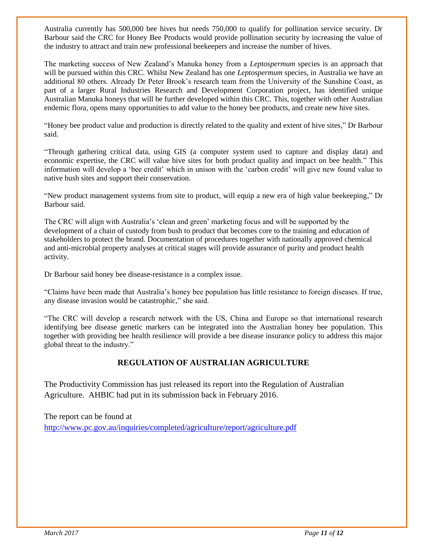Australia currently has 500,000 bee hives but needs 750,000 to qualify for pollination service security. Dr Barbour said the CRC for Honey Bee Products would provide pollination security by increasing the value of the industry to attract and train new professional beekeepers and increase the number of hives.

The marketing success of New Zealand's Manuka honey from a *Leptospermum* species is an approach that will be pursued within this CRC. Whilst New Zealand has one *Leptospermum* species, in Australia we have an additional 80 others. Already Dr Peter Brook's research team from the University of the Sunshine Coast, as part of a larger Rural Industries Research and Development Corporation project, has identified unique Australian Manuka honeys that will be further developed within this CRC. This, together with other Australian endemic flora, opens many opportunities to add value to the honey bee products, and create new hive sites.

"Honey bee product value and production is directly related to the quality and extent of hive sites," Dr Barbour said.

"Through gathering critical data, using GIS (a computer system used to capture and display data) and economic expertise, the CRC will value hive sites for both product quality and impact on bee health." This information will develop a 'bee credit' which in unison with the 'carbon credit' will give new found value to native bush sites and support their conservation.

"New product management systems from site to product, will equip a new era of high value beekeeping," Dr Barbour said.

The CRC will align with Australia's 'clean and green' marketing focus and will be supported by the development of a chain of custody from bush to product that becomes core to the training and education of stakeholders to protect the brand. Documentation of procedures together with nationally approved chemical and anti-microbial property analyses at critical stages will provide assurance of purity and product health activity.

Dr Barbour said honey bee disease-resistance is a complex issue.

"Claims have been made that Australia's honey bee population has little resistance to foreign diseases. If true, any disease invasion would be catastrophic," she said.

"The CRC will develop a research network with the US, China and Europe so that international research identifying bee disease genetic markers can be integrated into the Australian honey bee population. This together with providing bee health resilience will provide a bee disease insurance policy to address this major global threat to the industry."

#### **REGULATION OF AUSTRALIAN AGRICULTURE**

The Productivity Commission has just released its report into the Regulation of Australian Agriculture. AHBIC had put in its submission back in February 2016.

The report can be found at

<http://www.pc.gov.au/inquiries/completed/agriculture/report/agriculture.pdf>